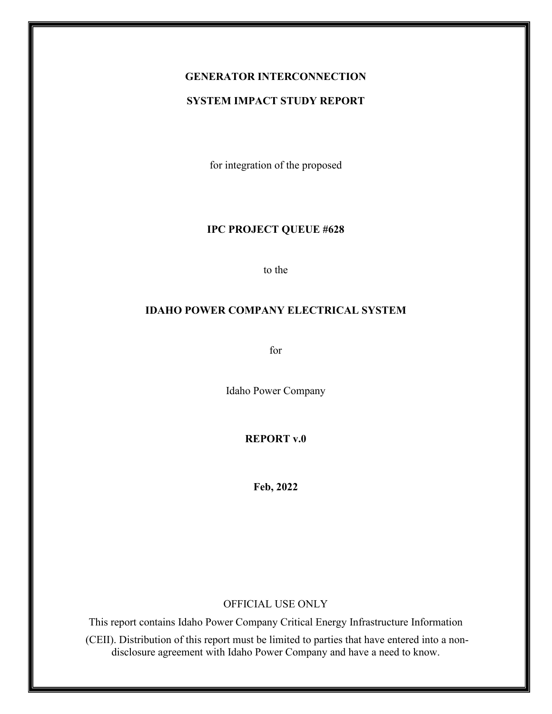# **GENERATOR INTERCONNECTION**

#### **SYSTEM IMPACT STUDY REPORT**

for integration of the proposed

#### **IPC PROJECT QUEUE #628**

to the

#### **IDAHO POWER COMPANY ELECTRICAL SYSTEM**

for

Idaho Power Company

**REPORT v.0**

**Feb, 2022**

#### OFFICIAL USE ONLY

This report contains Idaho Power Company Critical Energy Infrastructure Information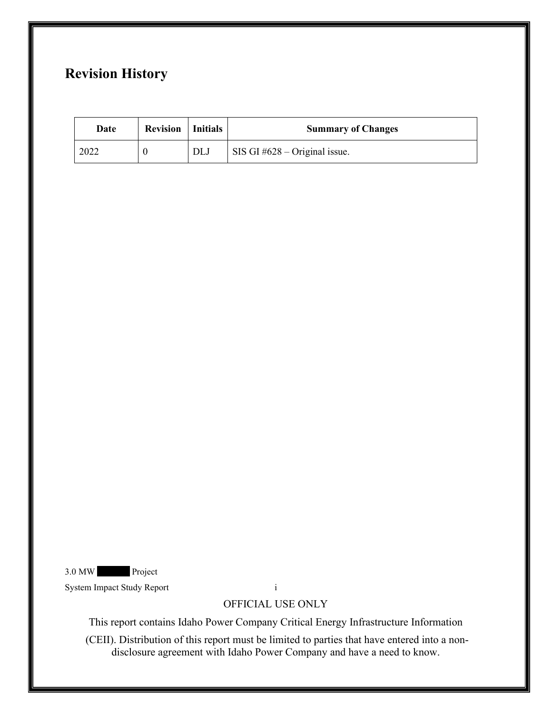# **Revision History**

| Date | <b>Revision</b>   Initials |            | <b>Summary of Changes</b>       |
|------|----------------------------|------------|---------------------------------|
| 2022 |                            | <b>DLJ</b> | SIS GI $#628 - Original$ issue. |

3.0 MW Project

System Impact Study Report i

## OFFICIAL USE ONLY

This report contains Idaho Power Company Critical Energy Infrastructure Information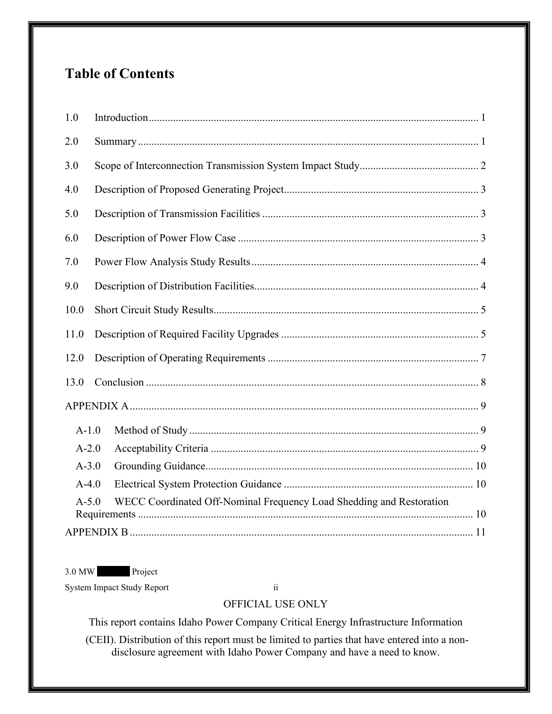# **Table of Contents**

| 1.0       |                                                                      |  |  |
|-----------|----------------------------------------------------------------------|--|--|
| 2.0       |                                                                      |  |  |
| 3.0       |                                                                      |  |  |
| 4.0       |                                                                      |  |  |
| 5.0       |                                                                      |  |  |
| 6.0       |                                                                      |  |  |
| 7.0       |                                                                      |  |  |
| 9.0       |                                                                      |  |  |
| 10.0      |                                                                      |  |  |
| 11.0      |                                                                      |  |  |
| 12.0      |                                                                      |  |  |
| 13.0      |                                                                      |  |  |
|           |                                                                      |  |  |
| $A-1.0$   |                                                                      |  |  |
| $A-2.0$   |                                                                      |  |  |
| $A - 3.0$ |                                                                      |  |  |
| $A-4.0$   |                                                                      |  |  |
| $A - 5.0$ | WECC Coordinated Off-Nominal Frequency Load Shedding and Restoration |  |  |
|           |                                                                      |  |  |

3.0 MW Project

System Impact Study Report ii

# OFFICIAL USE ONLY

This report contains Idaho Power Company Critical Energy Infrastructure Information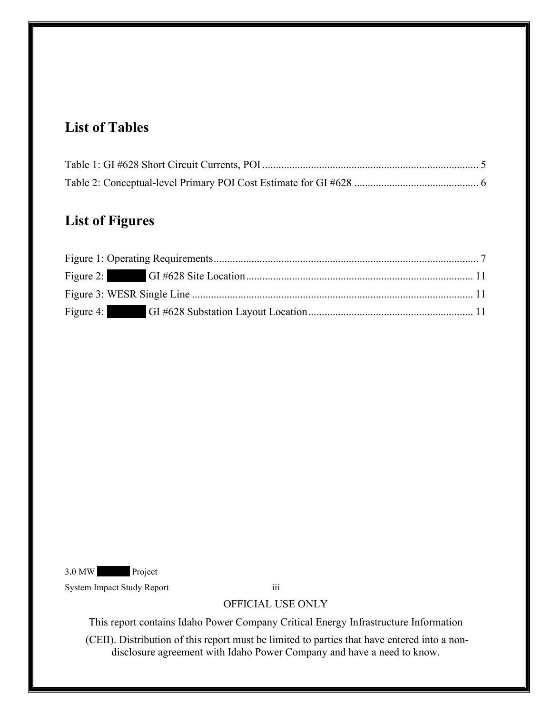# **List of Tables**

# **List of Figures**

3.0 MW Project

System Impact Study Report iii

### OFFICIAL USE ONLY

This report contains Idaho Power Company Critical Energy Infrastructure Information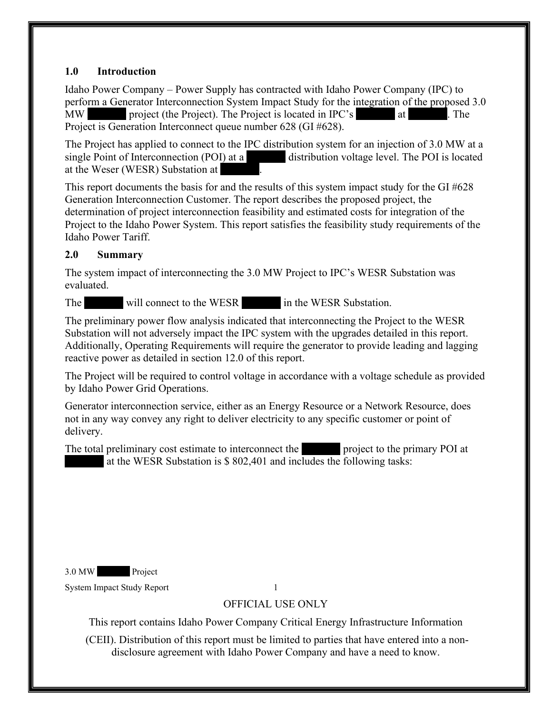### <span id="page-4-0"></span>**1.0 Introduction**

Idaho Power Company – Power Supply has contracted with Idaho Power Company (IPC) to perform a Generator Interconnection System Impact Study for the integration of the proposed 3.0 MW project (the Project). The Project is located in IPC's at XXX. The Project is Generation Interconnect queue number 628 (GI #628).

The Project has applied to connect to the IPC distribution system for an injection of 3.0 MW at a single Point of Interconnection (POI) at a distribution voltage level. The POI is located at the Weser (WESR) Substation at

This report documents the basis for and the results of this system impact study for the GI #628 Generation Interconnection Customer. The report describes the proposed project, the determination of project interconnection feasibility and estimated costs for integration of the Project to the Idaho Power System. This report satisfies the feasibility study requirements of the Idaho Power Tariff.

# <span id="page-4-1"></span>**2.0 Summary**

The system impact of interconnecting the 3.0 MW Project to IPC's WESR Substation was evaluated.

The will connect to the WESR in the WESR Substation.

The preliminary power flow analysis indicated that interconnecting the Project to the WESR Substation will not adversely impact the IPC system with the upgrades detailed in this report. Additionally, Operating Requirements will require the generator to provide leading and lagging reactive power as detailed in section 12.0 of this report.

The Project will be required to control voltage in accordance with a voltage schedule as provided by Idaho Power Grid Operations.

Generator interconnection service, either as an Energy Resource or a Network Resource, does not in any way convey any right to deliver electricity to any specific customer or point of delivery.

The total preliminary cost estimate to interconnect the  $\blacksquare$  project to the primary POI at at the WESR Substation is  $$802,401$  and includes the following tasks:

3.0 MW Project

System Impact Study Report 1

OFFICIAL USE ONLY

This report contains Idaho Power Company Critical Energy Infrastructure Information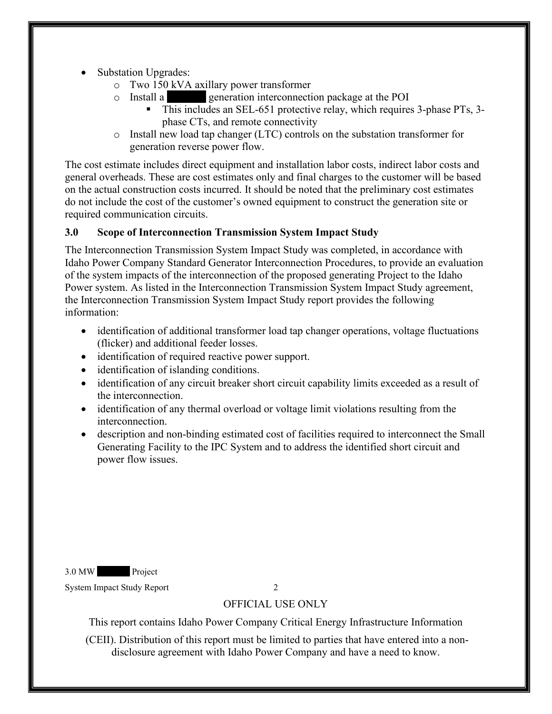- Substation Upgrades:
	- o Two 150 kVA axillary power transformer
	- $\circ$  Install a generation interconnection package at the POI
		- This includes an SEL-651 protective relay, which requires 3-phase PTs, 3 phase CTs, and remote connectivity
	- o Install new load tap changer (LTC) controls on the substation transformer for generation reverse power flow.

The cost estimate includes direct equipment and installation labor costs, indirect labor costs and general overheads. These are cost estimates only and final charges to the customer will be based on the actual construction costs incurred. It should be noted that the preliminary cost estimates do not include the cost of the customer's owned equipment to construct the generation site or required communication circuits.

# <span id="page-5-0"></span>**3.0 Scope of Interconnection Transmission System Impact Study**

The Interconnection Transmission System Impact Study was completed, in accordance with Idaho Power Company Standard Generator Interconnection Procedures, to provide an evaluation of the system impacts of the interconnection of the proposed generating Project to the Idaho Power system. As listed in the Interconnection Transmission System Impact Study agreement, the Interconnection Transmission System Impact Study report provides the following information:

- identification of additional transformer load tap changer operations, voltage fluctuations (flicker) and additional feeder losses.
- identification of required reactive power support.
- identification of islanding conditions.
- identification of any circuit breaker short circuit capability limits exceeded as a result of the interconnection.
- identification of any thermal overload or voltage limit violations resulting from the interconnection.
- description and non-binding estimated cost of facilities required to interconnect the Small Generating Facility to the IPC System and to address the identified short circuit and power flow issues.

3.0 MW Project

System Impact Study Report 2

# OFFICIAL USE ONLY

This report contains Idaho Power Company Critical Energy Infrastructure Information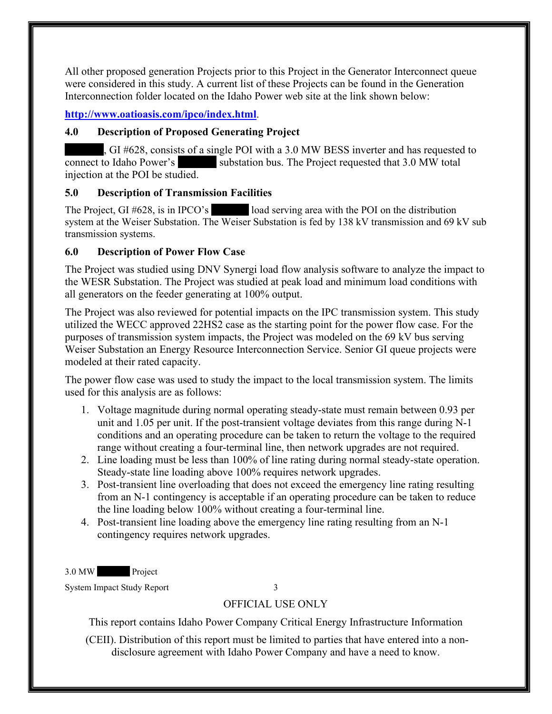All other proposed generation Projects prior to this Project in the Generator Interconnect queue were considered in this study. A current list of these Projects can be found in the Generation Interconnection folder located on the Idaho Power web site at the link shown below:

## **<http://www.oatioasis.com/ipco/index.html>**.

### <span id="page-6-0"></span>**4.0 Description of Proposed Generating Project**

 $\overline{X}$ , GI #628, consists of a single POI with a 3.0 MW BESS inverter and has requested to connect to Idaho Power's substation bus. The Project requested that 3.0 MW total injection at the POI be studied.

## <span id="page-6-1"></span>**5.0 Description of Transmission Facilities**

The Project, GI  $\#628$ , is in IPCO's load serving area with the POI on the distribution system at the Weiser Substation. The Weiser Substation is fed by 138 kV transmission and 69 kV sub transmission systems.

## <span id="page-6-2"></span>**6.0 Description of Power Flow Case**

The Project was studied using DNV Synergi load flow analysis software to analyze the impact to the WESR Substation. The Project was studied at peak load and minimum load conditions with all generators on the feeder generating at 100% output.

The Project was also reviewed for potential impacts on the IPC transmission system. This study utilized the WECC approved 22HS2 case as the starting point for the power flow case. For the purposes of transmission system impacts, the Project was modeled on the 69 kV bus serving Weiser Substation an Energy Resource Interconnection Service. Senior GI queue projects were modeled at their rated capacity.

The power flow case was used to study the impact to the local transmission system. The limits used for this analysis are as follows:

- 1. Voltage magnitude during normal operating steady-state must remain between 0.93 per unit and 1.05 per unit. If the post-transient voltage deviates from this range during N-1 conditions and an operating procedure can be taken to return the voltage to the required range without creating a four-terminal line, then network upgrades are not required.
- 2. Line loading must be less than 100% of line rating during normal steady-state operation. Steady-state line loading above 100% requires network upgrades.
- 3. Post-transient line overloading that does not exceed the emergency line rating resulting from an N-1 contingency is acceptable if an operating procedure can be taken to reduce the line loading below 100% without creating a four-terminal line.
- 4. Post-transient line loading above the emergency line rating resulting from an N-1 contingency requires network upgrades.

3.0 MW Project

System Impact Study Report 3

# OFFICIAL USE ONLY

This report contains Idaho Power Company Critical Energy Infrastructure Information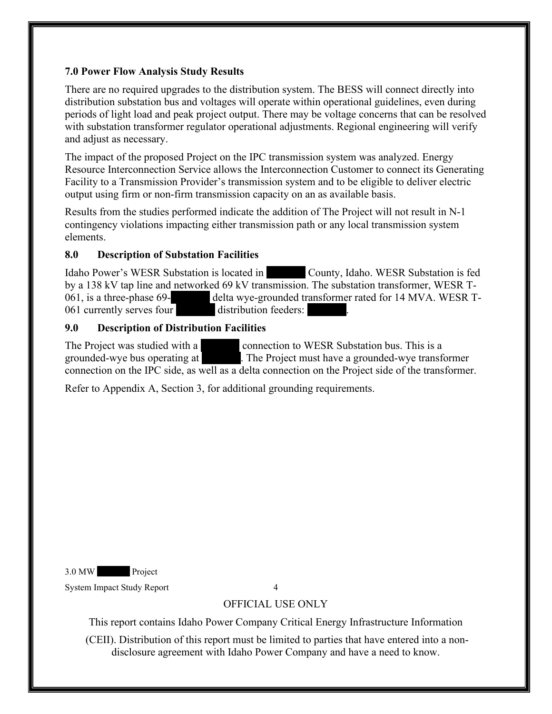## <span id="page-7-0"></span>**7.0 Power Flow Analysis Study Results**

There are no required upgrades to the distribution system. The BESS will connect directly into distribution substation bus and voltages will operate within operational guidelines, even during periods of light load and peak project output. There may be voltage concerns that can be resolved with substation transformer regulator operational adjustments. Regional engineering will verify and adjust as necessary.

The impact of the proposed Project on the IPC transmission system was analyzed. Energy Resource Interconnection Service allows the Interconnection Customer to connect its Generating Facility to a Transmission Provider's transmission system and to be eligible to deliver electric output using firm or non-firm transmission capacity on an as available basis.

Results from the studies performed indicate the addition of The Project will not result in N-1 contingency violations impacting either transmission path or any local transmission system elements.

## **8.0 Description of Substation Facilities**

Idaho Power's WESR Substation is located in County, Idaho. WESR Substation is fed by a 138 kV tap line and networked 69 kV transmission. The substation transformer, WESR T-061, is a three-phase 69-<br>delta wye-grounded transformer rated for 14 MVA. WESR T-061, is a three-phase 69-<br>
061 currently serves four<br>
distribution feeders:

## <span id="page-7-1"></span>**9.0 Description of Distribution Facilities**

The Project was studied with a connection to WESR Substation bus. This is a grounded-wye bus operating at  $\blacksquare$  The Project must have a grounded-wye transfer . The Project must have a grounded-wye transformer connection on the IPC side, as well as a delta connection on the Project side of the transformer.

Refer to Appendix A, Section 3, for additional grounding requirements.

3.0 MW Project

System Impact Study Report 4

# OFFICIAL USE ONLY

This report contains Idaho Power Company Critical Energy Infrastructure Information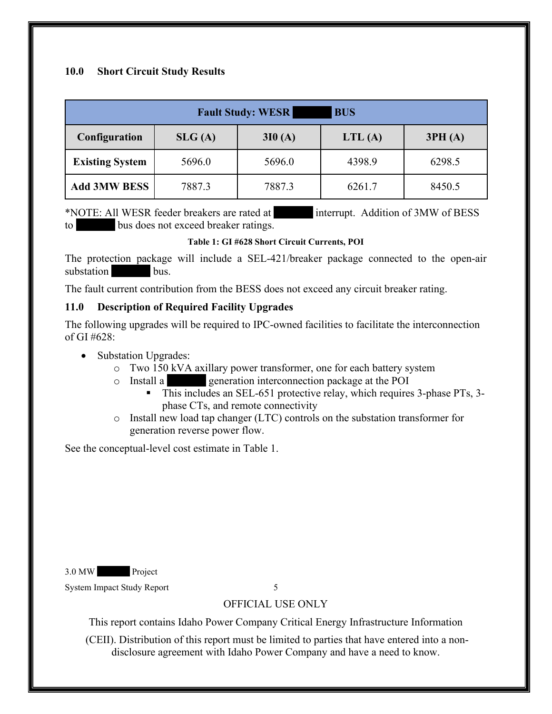#### <span id="page-8-0"></span>**10.0 Short Circuit Study Results**

| <b>Fault Study: WESR</b><br><b>BUS</b> |        |        |           |        |  |  |
|----------------------------------------|--------|--------|-----------|--------|--|--|
| <b>Configuration</b>                   | SLG(A) | 3I0(A) | LTL $(A)$ | 3PH(A) |  |  |
| <b>Existing System</b>                 | 5696.0 | 5696.0 | 4398.9    | 6298.5 |  |  |
| <b>Add 3MW BESS</b>                    | 7887.3 | 7887.3 | 6261.7    | 8450.5 |  |  |

\*NOTE: All WESR feeder breakers are rated at XXX interrupt. Addition of 3MW of BESS to bus does not exceed breaker ratings.

#### **Table 1: GI #628 Short Circuit Currents, POI**

<span id="page-8-2"></span>The protection package will include a SEL-421/breaker package connected to the open-air substation bus.

The fault current contribution from the BESS does not exceed any circuit breaker rating.

#### <span id="page-8-1"></span>**11.0 Description of Required Facility Upgrades**

The following upgrades will be required to IPC-owned facilities to facilitate the interconnection of GI #628:

- Substation Upgrades:
	- o Two 150 kVA axillary power transformer, one for each battery system
	- o Install a XXXXX generation interconnection package at the POI
		- This includes an SEL-651 protective relay, which requires 3-phase PTs, 3phase CTs, and remote connectivity
	- o Install new load tap changer (LTC) controls on the substation transformer for generation reverse power flow.

See the conceptual-level cost estimate in Table 1.

3.0 MW Project

System Impact Study Report 5

# OFFICIAL USE ONLY

This report contains Idaho Power Company Critical Energy Infrastructure Information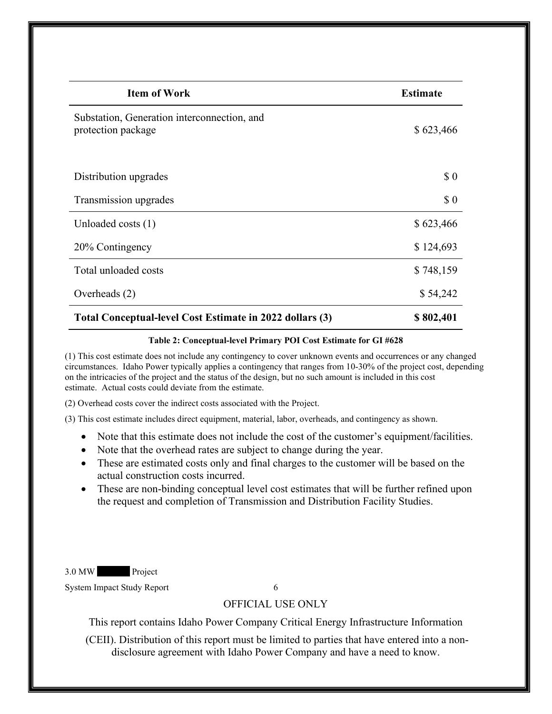| <b>Item of Work</b>                                               | <b>Estimate</b> |
|-------------------------------------------------------------------|-----------------|
| Substation, Generation interconnection, and<br>protection package | \$623,466       |
| Distribution upgrades                                             | \$0             |
| Transmission upgrades                                             | \$0             |
| Unloaded costs (1)                                                | \$623,466       |
| 20% Contingency                                                   | \$124,693       |
| Total unloaded costs                                              | \$748,159       |
| Overheads (2)                                                     | \$54,242        |
| Total Conceptual-level Cost Estimate in 2022 dollars (3)          | \$802,401       |

#### **Table 2: Conceptual-level Primary POI Cost Estimate for GI #628**

<span id="page-9-0"></span>(1) This cost estimate does not include any contingency to cover unknown events and occurrences or any changed circumstances. Idaho Power typically applies a contingency that ranges from 10-30% of the project cost, depending on the intricacies of the project and the status of the design, but no such amount is included in this cost estimate. Actual costs could deviate from the estimate.

(2) Overhead costs cover the indirect costs associated with the Project.

(3) This cost estimate includes direct equipment, material, labor, overheads, and contingency as shown.

- Note that this estimate does not include the cost of the customer's equipment/facilities.
- Note that the overhead rates are subject to change during the year.
- These are estimated costs only and final charges to the customer will be based on the actual construction costs incurred.
- These are non-binding conceptual level cost estimates that will be further refined upon the request and completion of Transmission and Distribution Facility Studies.

3.0 MW Project

System Impact Study Report 6

#### OFFICIAL USE ONLY

This report contains Idaho Power Company Critical Energy Infrastructure Information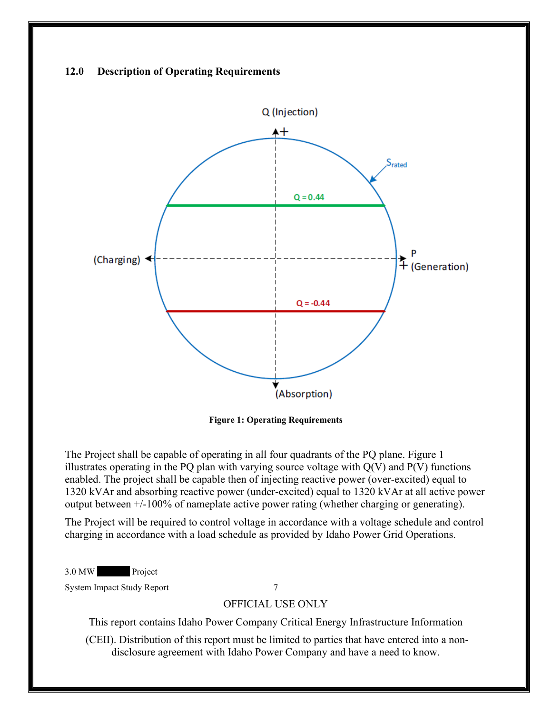#### <span id="page-10-0"></span>**12.0 Description of Operating Requirements**



**Figure 1: Operating Requirements**

<span id="page-10-1"></span>The Project shall be capable of operating in all four quadrants of the PQ plane. Figure 1 illustrates operating in the PQ plan with varying source voltage with  $Q(V)$  and  $P(V)$  functions enabled. The project shall be capable then of injecting reactive power (over-excited) equal to 1320 kVAr and absorbing reactive power (under-excited) equal to 1320 kVAr at all active power output between +/-100% of nameplate active power rating (whether charging or generating).

The Project will be required to control voltage in accordance with a voltage schedule and control charging in accordance with a load schedule as provided by Idaho Power Grid Operations.

3.0 MW Project

System Impact Study Report 7

#### OFFICIAL USE ONLY

This report contains Idaho Power Company Critical Energy Infrastructure Information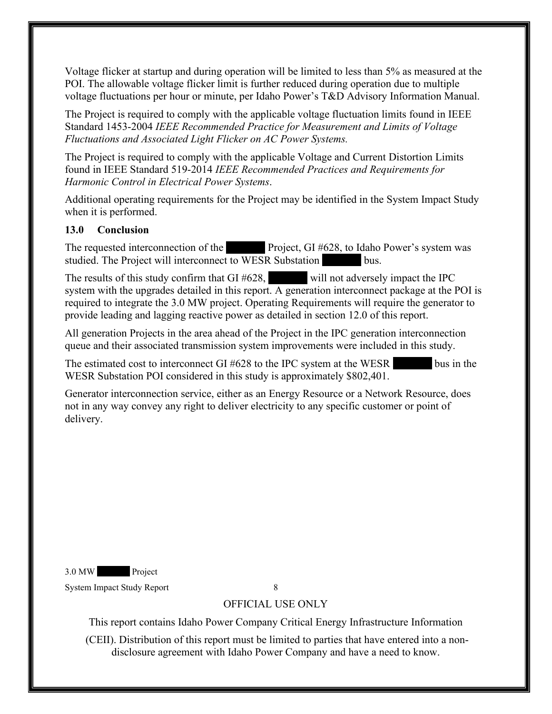Voltage flicker at startup and during operation will be limited to less than 5% as measured at the POI. The allowable voltage flicker limit is further reduced during operation due to multiple voltage fluctuations per hour or minute, per Idaho Power's T&D Advisory Information Manual.

The Project is required to comply with the applicable voltage fluctuation limits found in IEEE Standard 1453-2004 *IEEE Recommended Practice for Measurement and Limits of Voltage Fluctuations and Associated Light Flicker on AC Power Systems.* 

The Project is required to comply with the applicable Voltage and Current Distortion Limits found in IEEE Standard 519-2014 *IEEE Recommended Practices and Requirements for Harmonic Control in Electrical Power Systems*.

Additional operating requirements for the Project may be identified in the System Impact Study when it is performed.

#### <span id="page-11-0"></span>**13.0 Conclusion**

The requested interconnection of the Project, GI #628, to Idaho Power's system was studied. The Project will interconnect to WESR Substation bus.

The results of this study confirm that  $GI \#628$ , will not adversely impact the IPC system with the upgrades detailed in this report. A generation interconnect package at the POI is required to integrate the 3.0 MW project. Operating Requirements will require the generator to provide leading and lagging reactive power as detailed in section 12.0 of this report.

All generation Projects in the area ahead of the Project in the IPC generation interconnection queue and their associated transmission system improvements were included in this study.

The estimated cost to interconnect GI  $#628$  to the IPC system at the WESR bus in the WESR Substation POI considered in this study is approximately \$802,401.

Generator interconnection service, either as an Energy Resource or a Network Resource, does not in any way convey any right to deliver electricity to any specific customer or point of delivery.

3.0 MW Project

System Impact Study Report 8

# OFFICIAL USE ONLY

This report contains Idaho Power Company Critical Energy Infrastructure Information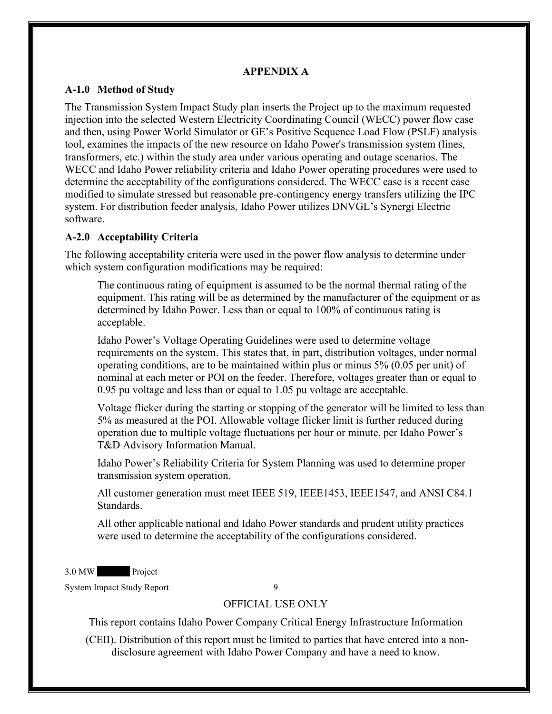#### **APPENDIX A**

#### <span id="page-12-1"></span><span id="page-12-0"></span>**A-1.0 Method of Study**

The Transmission System Impact Study plan inserts the Project up to the maximum requested injection into the selected Western Electricity Coordinating Council (WECC) power flow case and then, using Power World Simulator or GE's Positive Sequence Load Flow (PSLF) analysis tool, examines the impacts of the new resource on Idaho Power's transmission system (lines, transformers, etc.) within the study area under various operating and outage scenarios. The WECC and Idaho Power reliability criteria and Idaho Power operating procedures were used to determine the acceptability of the configurations considered. The WECC case is a recent case modified to simulate stressed but reasonable pre-contingency energy transfers utilizing the IPC system. For distribution feeder analysis, Idaho Power utilizes DNVGL's Synergi Electric software.

#### <span id="page-12-2"></span>**A-2.0 Acceptability Criteria**

The following acceptability criteria were used in the power flow analysis to determine under which system configuration modifications may be required:

The continuous rating of equipment is assumed to be the normal thermal rating of the equipment. This rating will be as determined by the manufacturer of the equipment or as determined by Idaho Power. Less than or equal to 100% of continuous rating is acceptable.

Idaho Power's Voltage Operating Guidelines were used to determine voltage requirements on the system. This states that, in part, distribution voltages, under normal operating conditions, are to be maintained within plus or minus 5% (0.05 per unit) of nominal at each meter or POI on the feeder. Therefore, voltages greater than or equal to 0.95 pu voltage and less than or equal to 1.05 pu voltage are acceptable.

Voltage flicker during the starting or stopping of the generator will be limited to less than 5% as measured at the POI. Allowable voltage flicker limit is further reduced during operation due to multiple voltage fluctuations per hour or minute, per Idaho Power's T&D Advisory Information Manual.

Idaho Power's Reliability Criteria for System Planning was used to determine proper transmission system operation.

All customer generation must meet IEEE 519, IEEE1453, IEEE1547, and ANSI C84.1 Standards.

All other applicable national and Idaho Power standards and prudent utility practices were used to determine the acceptability of the configurations considered.

3.0 MW Project

System Impact Study Report 9

#### OFFICIAL USE ONLY

This report contains Idaho Power Company Critical Energy Infrastructure Information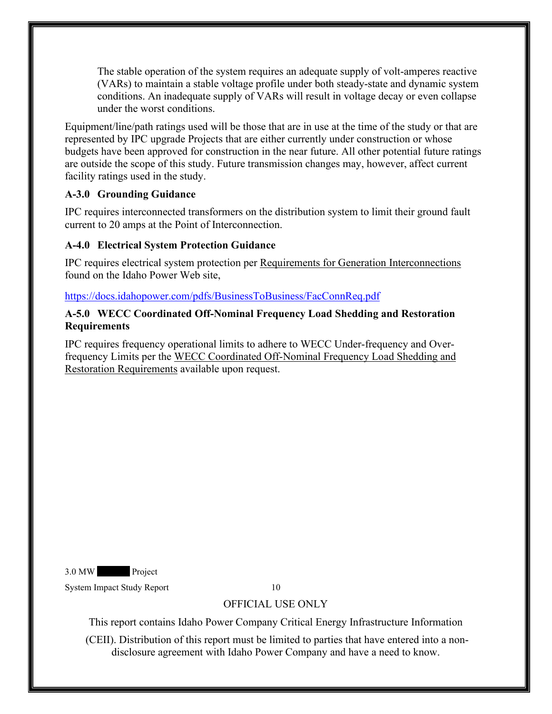The stable operation of the system requires an adequate supply of volt-amperes reactive (VARs) to maintain a stable voltage profile under both steady-state and dynamic system conditions. An inadequate supply of VARs will result in voltage decay or even collapse under the worst conditions.

Equipment/line/path ratings used will be those that are in use at the time of the study or that are represented by IPC upgrade Projects that are either currently under construction or whose budgets have been approved for construction in the near future. All other potential future ratings are outside the scope of this study. Future transmission changes may, however, affect current facility ratings used in the study.

## <span id="page-13-0"></span>**A-3.0 Grounding Guidance**

IPC requires interconnected transformers on the distribution system to limit their ground fault current to 20 amps at the Point of Interconnection.

## <span id="page-13-1"></span>**A-4.0 Electrical System Protection Guidance**

IPC requires electrical system protection per Requirements for Generation Interconnections found on the Idaho Power Web site,

#### <https://docs.idahopower.com/pdfs/BusinessToBusiness/FacConnReq.pdf>

#### <span id="page-13-2"></span>**A-5.0 WECC Coordinated Off-Nominal Frequency Load Shedding and Restoration Requirements**

IPC requires frequency operational limits to adhere to WECC Under-frequency and Overfrequency Limits per the WECC Coordinated Off-Nominal Frequency Load Shedding and Restoration Requirements available upon request.

3.0 MW Project

System Impact Study Report 10

# OFFICIAL USE ONLY

This report contains Idaho Power Company Critical Energy Infrastructure Information